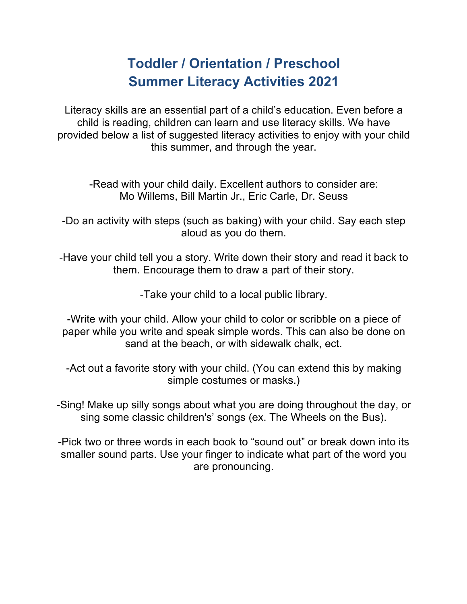## **Toddler / Orientation / Preschool Summer Literacy Activities 2021**

Literacy skills are an essential part of a child's education. Even before a child is reading, children can learn and use literacy skills. We have provided below a list of suggested literacy activities to enjoy with your child this summer, and through the year.

-Read with your child daily. Excellent authors to consider are: Mo Willems, Bill Martin Jr., Eric Carle, Dr. Seuss

-Do an activity with steps (such as baking) with your child. Say each step aloud as you do them.

-Have your child tell you a story. Write down their story and read it back to them. Encourage them to draw a part of their story.

-Take your child to a local public library.

-Write with your child. Allow your child to color or scribble on a piece of paper while you write and speak simple words. This can also be done on sand at the beach, or with sidewalk chalk, ect.

-Act out a favorite story with your child. (You can extend this by making simple costumes or masks.)

-Sing! Make up silly songs about what you are doing throughout the day, or sing some classic children's' songs (ex. The Wheels on the Bus).

-Pick two or three words in each book to "sound out" or break down into its smaller sound parts. Use your finger to indicate what part of the word you are pronouncing.